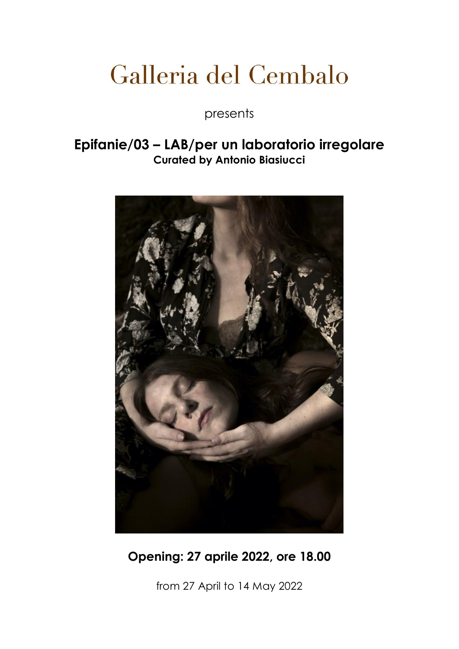# Galleria del Cembalo

presents

### **Epifanie/03 – LAB/per un laboratorio irregolare Curated by Antonio Biasiucci**



## **Opening: 27 aprile 2022, ore 18.00**

from 27 April to 14 May 2022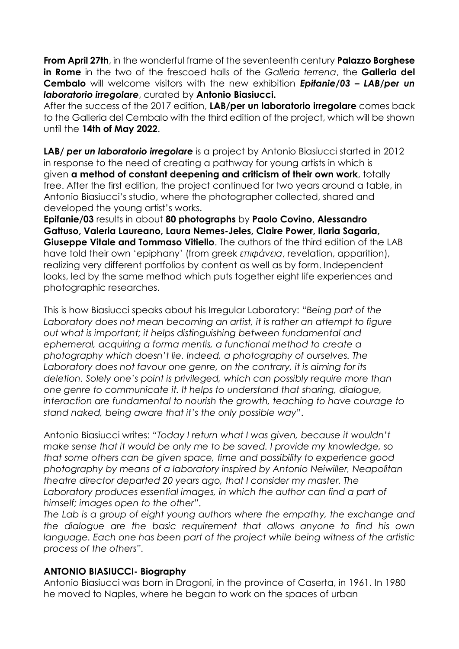**From April 27th**, in the wonderful frame of the seventeenth century **Palazzo Borghese in Rome** in the two of the frescoed halls of the *Galleria terrena*, the **Galleria del Cembalo** will welcome visitors with the new exhibition *Epifanie/03 – LAB/per un laboratorio irregolare*, curated by **Antonio Biasiucci.** 

After the success of the 2017 edition, **LAB/per un laboratorio irregolare** comes back to the Galleria del Cembalo with the third edition of the project, which will be shown until the **14th of May 2022**.

**LAB/** *per un laboratorio irregolare* is a project by Antonio Biasiucci started in 2012 in response to the need of creating a pathway for young artists in which is given **a method of constant deepening and criticism of their own work**, totally free. After the first edition, the project continued for two years around a table, in Antonio Biasiucci's studio, where the photographer collected, shared and developed the young artist's works.

**Epifanie/03** results in about **80 photographs** by **Paolo Covino, Alessandro Gattuso, Valeria Laureano, Laura Nemes-Jeles, Claire Power, Ilaria Sagaria, Giuseppe Vitale and Tommaso Vitiello**. The authors of the third edition of the LAB have told their own 'epiphany' (from greek *επιφάνεια*, revelation, apparition), realizing very different portfolios by content as well as by form. Independent looks, led by the same method which puts together eight life experiences and photographic researches.

This is how Biasiucci speaks about his Irregular Laboratory: *"Being part of the Laboratory does not mean becoming an artist, it is rather an attempt to figure out what is important; it helps distinguishing between fundamental and ephemeral, acquiring a forma mentis, a functional method to create a photography which doesn't lie. Indeed, a photography of ourselves. The Laboratory does not favour one genre, on the contrary, it is aiming for its deletion. Solely one's point is privileged, which can possibly require more than one genre to communicate it. It helps to understand that sharing, dialogue, interaction are fundamental to nourish the growth, teaching to have courage to stand naked, being aware that it's the only possible way"*.

Antonio Biasiucci writes: *"Today I return what I was given, because it wouldn't make sense that it would be only me to be saved. I provide my knowledge, so that some others can be given space, time and possibility to experience good photography by means of a laboratory inspired by Antonio Neiwiller, Neapolitan theatre director departed 20 years ago, that I consider my master. The Laboratory produces essential images, in which the author can find a part of himself; images open to the other"*.

*The Lab is a group of eight young authors where the empathy, the exchange and the dialogue are the basic requirement that allows anyone to find his own language. Each one has been part of the project while being witness of the artistic process of the others".*

#### **ANTONIO BIASIUCCI- Biography**

Antonio Biasiucci was born in Dragoni, in the province of Caserta, in 1961. In 1980 he moved to Naples, where he began to work on the spaces of urban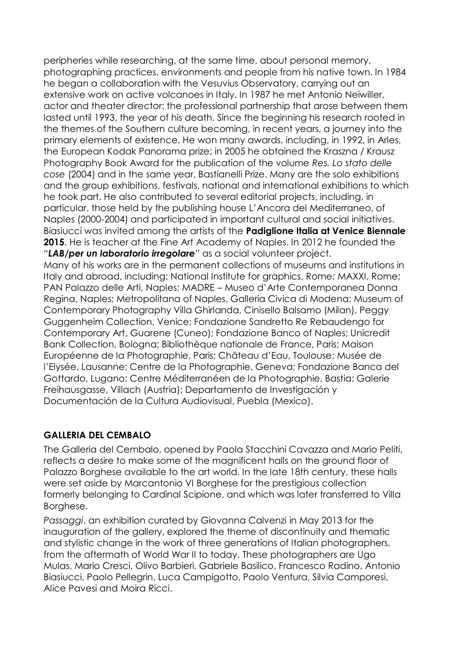peripheries while researching, at the same time, about personal memory, photographing practices, environments and people from his native town. In 1984 he began a collaboration with the Vesuvius Observatory, carrying out an extensive work on active volcanoes in Italy. In 1987 he met Antonio Neiwiller, actor and theater director: the professional partnership that arose between them lasted until 1993, the year of his death. Since the beginning his research rooted in the themes of the Southern culture becoming, in recent years, a journey into the primary elements of existence. He won many awards, including, in 1992, in Arles, the European Kodak Panorama prize; in 2005 he obtained the Kraszna / Krausz Photography Book Award for the publication of the volume *Res. Lo stato delle cose* (2004) and in the same year, Bastianelli Prize. Many are the solo exhibitions and the group exhibitions, festivals, national and international exhibitions to which he took part. He also contributed to several editorial projects, including, in particular, those held by the publishing house L'Ancora del Mediterraneo, of Naples (2000-2004) and participated in important cultural and social initiatives. Biasiucci was invited among the artists of the **Padiglione Italia at Venice Biennale 2015**. He is teacher at the Fine Art Academy of Naples. In 2012 he founded the "*LAB/per un laboratorio irregolare*" as a social volunteer project. Many of his works are in the permanent collections of museums and institutions in Italy and abroad, including: National Institute for graphics, Rome; MAXXI, Rome; PAN Palazzo delle Arti, Naples; MADRE – Museo d'Arte Contemporanea Donna Regina, Naples; Metropolitana of Naples, Galleria Civica di Modena; Museum of Contemporary Photography Villa Ghirlanda, Cinisello Balsamo (Milan), Peggy Guggenheim Collection, Venice; Fondazione Sandretto Re Rebaudengo for Contemporary Art, Guarene (Cuneo); Fondazione Banco of Naples; Unicredit Bank Collection, Bologna; Bibliothèque nationale de France, Paris; Maison Européenne de la Photographie, Paris; Château d'Eau, Toulouse; Musée de l'Elysée, Lausanne; Centre de la Photographie, Geneva; Fondazione Banca del Gottardo, Lugano; Centre Méditerranéen de la Photographie, Bastia; Galerie Freihausgasse, Villach (Austria); Departamento de Investigación y Documentación de la Cultura Audiovisual, Puebla (Mexico).

#### **GALLERIA DEL CEMBALO**

The Galleria del Cembalo, opened by Paola Stacchini Cavazza and Mario Peliti, reflects a desire to make some of the magnificent halls on the ground floor of Palazzo Borghese available to the art world. In the late 18th century, these halls were set aside by Marcantonio VI Borghese for the prestigious collection formerly belonging to Cardinal Scipione, and which was later transferred to Villa Borghese.

*Passaggi*, an exhibition curated by Giovanna Calvenzi in May 2013 for the inauguration of the gallery, explored the theme of discontinuity and thematic and stylistic change in the work of three generations of Italian photographers, from the aftermath of World War II to today. These photographers are Ugo Mulas, Mario Cresci, Olivo Barbieri, Gabriele Basilico, Francesco Radino, Antonio Biasiucci, Paolo Pellegrin, Luca Campigotto, Paolo Ventura, Silvia Camporesi, Alice Pavesi and Moira Ricci.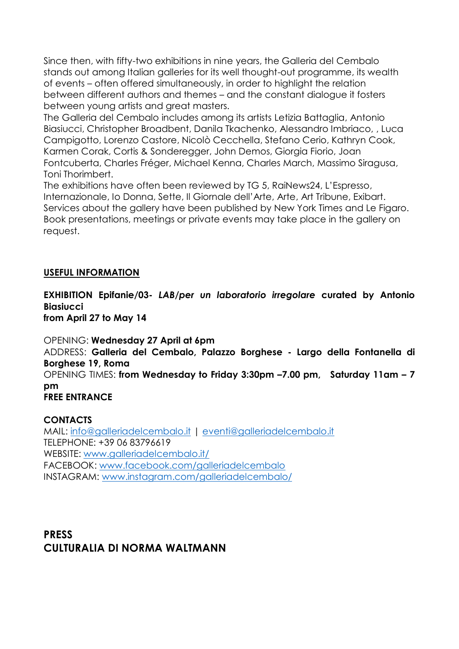Since then, with fifty-two exhibitions in nine years, the Galleria del Cembalo stands out among Italian galleries for its well thought-out programme, its wealth of events – often offered simultaneously, in order to highlight the relation between different authors and themes – and the constant dialogue it fosters between young artists and great masters.

The Galleria del Cembalo includes among its artists Letizia Battaglia, Antonio Biasiucci, Christopher Broadbent, Danila Tkachenko, Alessandro Imbriaco, , Luca Campigotto, Lorenzo Castore, Nicolò Cecchella, Stefano Cerio, Kathryn Cook, Karmen Corak, Cortis & Sonderegger, John Demos, Giorgia Fiorio, Joan Fontcuberta, Charles Fréger, Michael Kenna, Charles March, Massimo Siragusa, Toni Thorimbert.

The exhibitions have often been reviewed by TG 5, RaiNews24, L'Espresso, Internazionale, Io Donna, Sette, Il Giornale dell'Arte, Arte, Art Tribune, Exibart. Services about the gallery have been published by New York Times and Le Figaro. Book presentations, meetings or private events may take place in the gallery on request.

#### **USEFUL INFORMATION**

**EXHIBITION Epifanie/03-** *LAB/per un laboratorio irregolare* **curated by Antonio Biasiucci** 

**from April 27 to May 14** 

OPENING: **Wednesday 27 April at 6pm** ADDRESS: **Galleria del Cembalo, Palazzo Borghese - Largo della Fontanella di Borghese 19, Roma** OPENING TIMES: **from Wednesday to Friday 3:30pm –7.00 pm, Saturday 11am – 7 pm FREE ENTRANCE**

#### **CONTACTS**

MAIL: [info@galleriadelcembalo.it](mailto:info@galleriadelcembalo.it) | [eventi@galleriadelcembalo.it](mailto:eventi@galleriadelcembalo.it) TELEPHONE: +39 06 83796619 WEBSITE: [www.galleriadelcembalo.it/](http://www.galleriadelcembalo.it/) FACEBOOK: [www.facebook.com/galleriadelcembalo](http://www.facebook.com/galleriadelcembalo) INSTAGRAM: [www.instagram.com/galleriadelcembalo/](http://www.instagram.com/galleriadelcembalo/)

**PRESS CULTURALIA DI NORMA WALTMANN**